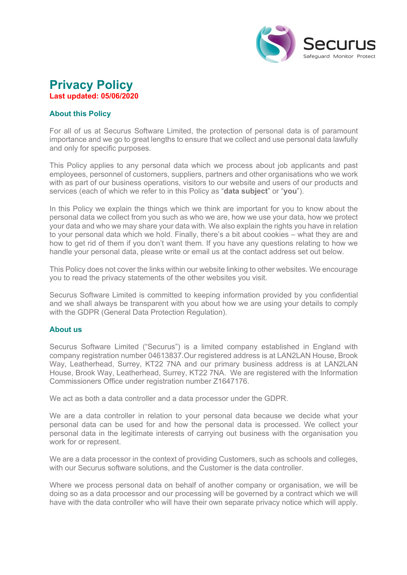

# **Privacy Policy Last updated: 05/06/2020**

# **About this Policy**

For all of us at Securus Software Limited, the protection of personal data is of paramount importance and we go to great lengths to ensure that we collect and use personal data lawfully and only for specific purposes.

This Policy applies to any personal data which we process about job applicants and past employees, personnel of customers, suppliers, partners and other organisations who we work with as part of our business operations, visitors to our website and users of our products and services (each of which we refer to in this Policy as "**data subject**" or "**you**").

In this Policy we explain the things which we think are important for you to know about the personal data we collect from you such as who we are, how we use your data, how we protect your data and who we may share your data with. We also explain the rights you have in relation to your personal data which we hold. Finally, there's a bit about cookies – what they are and how to get rid of them if you don't want them. If you have any questions relating to how we handle your personal data, please write or email us at the contact address set out below.

This Policy does not cover the links within our website linking to other websites. We encourage you to read the privacy statements of the other websites you visit.

Securus Software Limited is committed to keeping information provided by you confidential and we shall always be transparent with you about how we are using your details to comply with the GDPR (General Data Protection Regulation).

# **About us**

Securus Software Limited ("Securus") is a limited company established in England with company registration number 04613837.Our registered address is at LAN2LAN House, Brook Way, Leatherhead, Surrey, KT22 7NA and our primary business address is at LAN2LAN House, Brook Way, Leatherhead, Surrey, KT22 7NA. We are registered with the Information Commissioners Office under registration number Z1647176.

We act as both a data controller and a data processor under the GDPR.

We are a data controller in relation to your personal data because we decide what your personal data can be used for and how the personal data is processed. We collect your personal data in the legitimate interests of carrying out business with the organisation you work for or represent.

We are a data processor in the context of providing Customers, such as schools and colleges, with our Securus software solutions, and the Customer is the data controller.

Where we process personal data on behalf of another company or organisation, we will be doing so as a data processor and our processing will be governed by a contract which we will have with the data controller who will have their own separate privacy notice which will apply.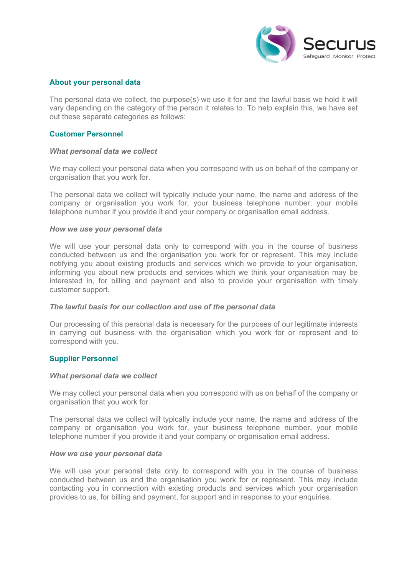

## **About your personal data**

The personal data we collect, the purpose(s) we use it for and the lawful basis we hold it will vary depending on the category of the person it relates to. To help explain this, we have set out these separate categories as follows:

# **Customer Personnel**

#### *What personal data we collect*

We may collect your personal data when you correspond with us on behalf of the company or organisation that you work for.

The personal data we collect will typically include your name, the name and address of the company or organisation you work for, your business telephone number, your mobile telephone number if you provide it and your company or organisation email address.

#### *How we use your personal data*

We will use your personal data only to correspond with you in the course of business conducted between us and the organisation you work for or represent. This may include notifying you about existing products and services which we provide to your organisation, informing you about new products and services which we think your organisation may be interested in, for billing and payment and also to provide your organisation with timely customer support.

#### *The lawful basis for our collection and use of the personal data*

Our processing of this personal data is necessary for the purposes of our legitimate interests in carrying out business with the organisation which you work for or represent and to correspond with you.

#### **Supplier Personnel**

#### *What personal data we collect*

We may collect your personal data when you correspond with us on behalf of the company or organisation that you work for.

The personal data we collect will typically include your name, the name and address of the company or organisation you work for, your business telephone number, your mobile telephone number if you provide it and your company or organisation email address.

#### *How we use your personal data*

We will use your personal data only to correspond with you in the course of business conducted between us and the organisation you work for or represent. This may include contacting you in connection with existing products and services which your organisation provides to us, for billing and payment, for support and in response to your enquiries.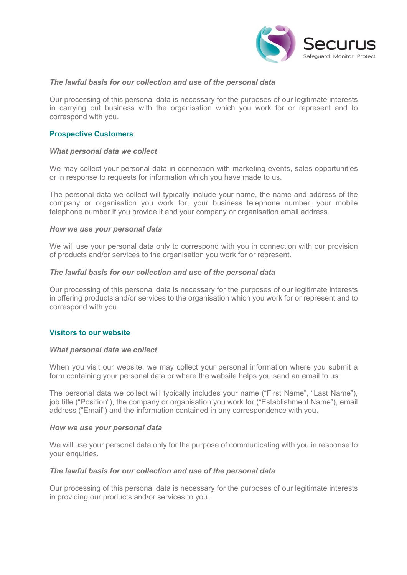

# *The lawful basis for our collection and use of the personal data*

Our processing of this personal data is necessary for the purposes of our legitimate interests in carrying out business with the organisation which you work for or represent and to correspond with you.

## **Prospective Customers**

#### *What personal data we collect*

We may collect your personal data in connection with marketing events, sales opportunities or in response to requests for information which you have made to us.

The personal data we collect will typically include your name, the name and address of the company or organisation you work for, your business telephone number, your mobile telephone number if you provide it and your company or organisation email address.

#### *How we use your personal data*

We will use your personal data only to correspond with you in connection with our provision of products and/or services to the organisation you work for or represent.

#### *The lawful basis for our collection and use of the personal data*

Our processing of this personal data is necessary for the purposes of our legitimate interests in offering products and/or services to the organisation which you work for or represent and to correspond with you.

## **Visitors to our website**

#### *What personal data we collect*

When you visit our website, we may collect your personal information where you submit a form containing your personal data or where the website helps you send an email to us.

The personal data we collect will typically includes your name ("First Name", "Last Name"), job title ("Position"), the company or organisation you work for ("Establishment Name"), email address ("Email") and the information contained in any correspondence with you.

#### *How we use your personal data*

We will use your personal data only for the purpose of communicating with you in response to your enquiries.

#### *The lawful basis for our collection and use of the personal data*

Our processing of this personal data is necessary for the purposes of our legitimate interests in providing our products and/or services to you.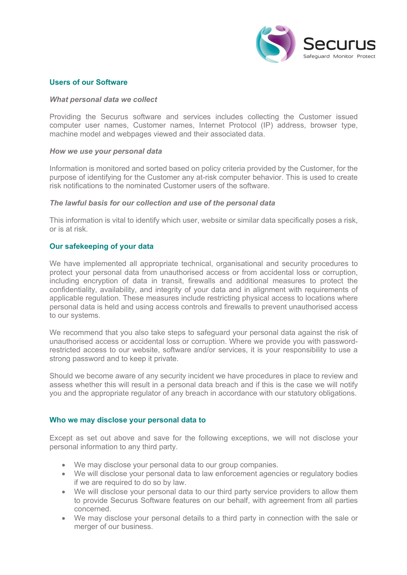

## **Users of our Software**

#### *What personal data we collect*

Providing the Securus software and services includes collecting the Customer issued computer user names, Customer names, Internet Protocol (IP) address, browser type, machine model and webpages viewed and their associated data.

#### *How we use your personal data*

Information is monitored and sorted based on policy criteria provided by the Customer, for the purpose of identifying for the Customer any at-risk computer behavior. This is used to create risk notifications to the nominated Customer users of the software.

#### *The lawful basis for our collection and use of the personal data*

This information is vital to identify which user, website or similar data specifically poses a risk, or is at risk.

## **Our safekeeping of your data**

We have implemented all appropriate technical, organisational and security procedures to protect your personal data from unauthorised access or from accidental loss or corruption, including encryption of data in transit, firewalls and additional measures to protect the confidentiality, availability, and integrity of your data and in alignment with requirements of applicable regulation. These measures include restricting physical access to locations where personal data is held and using access controls and firewalls to prevent unauthorised access to our systems.

We recommend that you also take steps to safeguard your personal data against the risk of unauthorised access or accidental loss or corruption. Where we provide you with passwordrestricted access to our website, software and/or services, it is your responsibility to use a strong password and to keep it private.

Should we become aware of any security incident we have procedures in place to review and assess whether this will result in a personal data breach and if this is the case we will notify you and the appropriate regulator of any breach in accordance with our statutory obligations.

#### **Who we may disclose your personal data to**

Except as set out above and save for the following exceptions, we will not disclose your personal information to any third party.

- We may disclose your personal data to our group companies.
- We will disclose your personal data to law enforcement agencies or regulatory bodies if we are required to do so by law.
- We will disclose your personal data to our third party service providers to allow them to provide Securus Software features on our behalf, with agreement from all parties concerned.
- We may disclose your personal details to a third party in connection with the sale or merger of our business.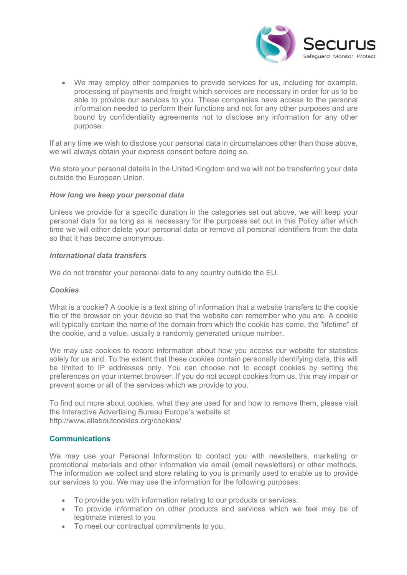

• We may employ other companies to provide services for us, including for example, processing of payments and freight which services are necessary in order for us to be able to provide our services to you. These companies have access to the personal information needed to perform their functions and not for any other purposes and are bound by confidentiality agreements not to disclose any information for any other purpose.

If at any time we wish to disclose your personal data in circumstances other than those above, we will always obtain your express consent before doing so.

We store your personal details in the United Kingdom and we will not be transferring your data outside the European Union.

#### *How long we keep your personal data*

Unless we provide for a specific duration in the categories set out above, we will keep your personal data for as long as is necessary for the purposes set out in this Policy after which time we will either delete your personal data or remove all personal identifiers from the data so that it has become anonymous.

## *International data transfers*

We do not transfer your personal data to any country outside the EU.

## *Cookies*

What is a cookie? A cookie is a text string of information that a website transfers to the cookie file of the browser on your device so that the website can remember who you are. A cookie will typically contain the name of the domain from which the cookie has come, the "lifetime" of the cookie, and a value, usually a randomly generated unique number.

We may use cookies to record information about how you access our website for statistics solely for us and. To the extent that these cookies contain personally identifying data, this will be limited to IP addresses only. You can choose not to accept cookies by setting the preferences on your internet browser. If you do not accept cookies from us, this may impair or prevent some or all of the services which we provide to you.

To find out more about cookies, what they are used for and how to remove them, please visit the Interactive Advertising Bureau Europe's website at http://www.allaboutcookies.org/cookies/

# **Communications**

We may use your Personal Information to contact you with newsletters, marketing or promotional materials and other information via email (email newsletters) or other methods. The information we collect and store relating to you is primarily used to enable us to provide our services to you. We may use the information for the following purposes:

- To provide you with information relating to our products or services.
- To provide information on other products and services which we feel may be of legitimate interest to you
- To meet our contractual commitments to you.